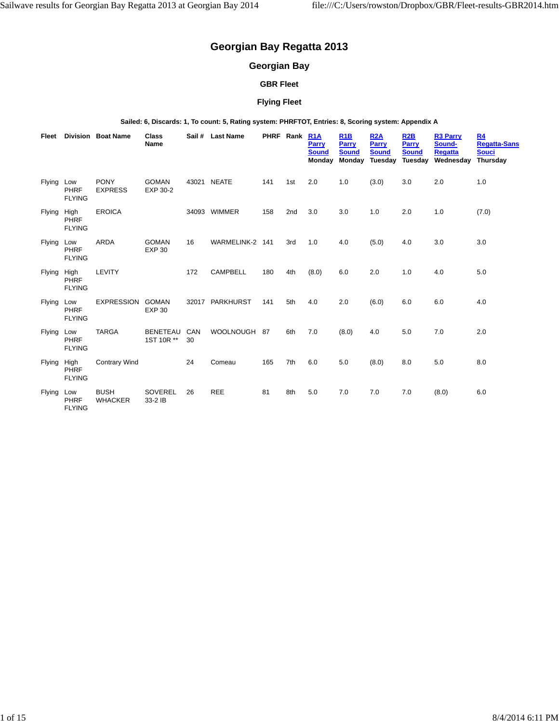# **Georgian Bay Regatta 2013**

# **Georgian Bay**

## **GBR Fleet**

## **Flying Fleet**

**Sailed: 6, Discards: 1, To count: 5, Rating system: PHRFTOT, Entries: 8, Scoring system: Appendix A**

| Fleet         |                               | Division Boat Name            | Class<br>Name                 |           | Sail # Last Name |     | PHRF Rank | R <sub>1</sub> A<br><b>Parry</b><br><b>Sound</b><br>Monday | R <sub>1</sub> B<br>Parry<br><b>Sound</b><br>Monday | <b>R2A</b><br><b>Parry</b><br><b>Sound</b><br>Tuesday | R <sub>2</sub> B<br><b>Parry</b><br><b>Sound</b><br>Tuesday | <b>R3 Parry</b><br>Sound-<br><b>Regatta</b><br>Wednesday | R <sub>4</sub><br><b>Regatta-Sans</b><br><b>Souci</b><br><b>Thursday</b> |
|---------------|-------------------------------|-------------------------------|-------------------------------|-----------|------------------|-----|-----------|------------------------------------------------------------|-----------------------------------------------------|-------------------------------------------------------|-------------------------------------------------------------|----------------------------------------------------------|--------------------------------------------------------------------------|
| Flying Low    | PHRF<br><b>FLYING</b>         | <b>PONY</b><br><b>EXPRESS</b> | <b>GOMAN</b><br>EXP 30-2      |           | 43021 NEATE      | 141 | 1st       | 2.0                                                        | 1.0                                                 | (3.0)                                                 | 3.0                                                         | 2.0                                                      | 1.0                                                                      |
| <b>Flying</b> | High<br>PHRF<br><b>FLYING</b> | <b>EROICA</b>                 |                               |           | 34093 WIMMER     | 158 | 2nd       | 3.0                                                        | 3.0                                                 | 1.0                                                   | 2.0                                                         | 1.0                                                      | (7.0)                                                                    |
| Flying        | Low<br>PHRF<br><b>FLYING</b>  | ARDA                          | <b>GOMAN</b><br><b>EXP 30</b> | 16        | WARMELINK-2 141  |     | 3rd       | 1.0                                                        | 4.0                                                 | (5.0)                                                 | 4.0                                                         | 3.0                                                      | 3.0                                                                      |
| Flying        | High<br>PHRF<br><b>FLYING</b> | LEVITY                        |                               | 172       | <b>CAMPBELL</b>  | 180 | 4th       | (8.0)                                                      | 6.0                                                 | 2.0                                                   | 1.0                                                         | 4.0                                                      | 5.0                                                                      |
| <b>Flying</b> | Low<br>PHRF<br><b>FLYING</b>  | <b>EXPRESSION</b>             | <b>GOMAN</b><br><b>EXP 30</b> |           | 32017 PARKHURST  | 141 | 5th       | 4.0                                                        | 2.0                                                 | (6.0)                                                 | 6.0                                                         | 6.0                                                      | 4.0                                                                      |
| Flying        | Low<br>PHRF<br><b>FLYING</b>  | <b>TARGA</b>                  | <b>BENETEAU</b><br>1ST 10R ** | CAN<br>30 | WOOLNOUGH 87     |     | 6th       | 7.0                                                        | (8.0)                                               | 4.0                                                   | 5.0                                                         | 7.0                                                      | 2.0                                                                      |
| Flying        | High<br>PHRF<br><b>FLYING</b> | <b>Contrary Wind</b>          |                               | 24        | Comeau           | 165 | 7th       | 6.0                                                        | 5.0                                                 | (8.0)                                                 | 8.0                                                         | 5.0                                                      | 8.0                                                                      |
| <b>Flying</b> | Low<br>PHRF<br><b>FLYING</b>  | <b>BUSH</b><br><b>WHACKER</b> | SOVEREL<br>33-2 IB            | 26        | <b>REE</b>       | 81  | 8th       | 5.0                                                        | 7.0                                                 | 7.0                                                   | 7.0                                                         | (8.0)                                                    | 6.0                                                                      |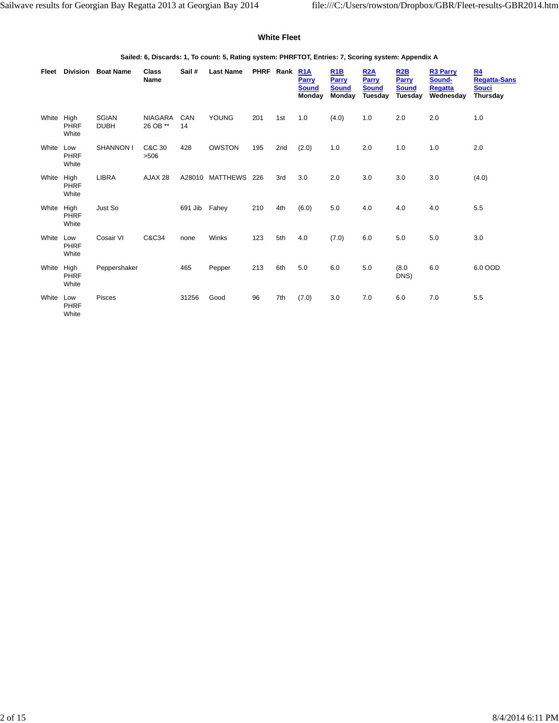#### **White Fleet**

**Sailed: 6, Discards: 1, To count: 5, Rating system: PHRFTOT, Entries: 7, Scoring system: Appendix A**

| Fleet      | Division                    | <b>Boat Name</b>            | Class<br><b>Name</b> | Sail#         | <b>Last Name</b>    | PHRF Rank |     | R <sub>1</sub> A<br><b>Parry</b><br><b>Sound</b><br>Monday | R1B<br><b>Parry</b><br><b>Sound</b><br>Monday | R2A<br><b>Parry</b><br><b>Sound</b><br><b>Tuesday</b> | R2B<br><b>Parry</b><br><b>Sound</b><br>Tuesday | <b>R3 Parry</b><br>Sound-<br><b>Regatta</b><br>Wednesday | R <sub>4</sub><br><b>Regatta-Sans</b><br><b>Souci</b><br><b>Thursday</b> |
|------------|-----------------------------|-----------------------------|----------------------|---------------|---------------------|-----------|-----|------------------------------------------------------------|-----------------------------------------------|-------------------------------------------------------|------------------------------------------------|----------------------------------------------------------|--------------------------------------------------------------------------|
| White High | PHRF<br>White               | <b>SGIAN</b><br><b>DUBH</b> | NIAGARA<br>26 OB **  | CAN<br>14     | YOUNG               | 201       | 1st | 1.0                                                        | (4.0)                                         | 1.0                                                   | 2.0                                            | 2.0                                                      | 1.0                                                                      |
| White      | Low<br><b>PHRF</b><br>White | <b>SHANNON I</b>            | C&C 30<br>>506       | 428           | <b>OWSTON</b>       | 195       | 2nd | (2.0)                                                      | 1.0                                           | 2.0                                                   | 1.0                                            | 1.0                                                      | 2.0                                                                      |
| White High | <b>PHRF</b><br>White        | LIBRA                       | AJAX 28              |               | A28010 MATTHEWS 226 |           | 3rd | 3.0                                                        | 2.0                                           | 3.0                                                   | 3.0                                            | 3.0                                                      | (4.0)                                                                    |
| White      | High<br>PHRF<br>White       | Just So                     |                      | 691 Jib Fahey |                     | 210       | 4th | (6.0)                                                      | 5.0                                           | 4.0                                                   | 4.0                                            | 4.0                                                      | 5.5                                                                      |
| White      | Low<br>PHRF<br>White        | Cosair VI                   | C&C34                | none          | Winks               | 123       | 5th | 4.0                                                        | (7.0)                                         | 6.0                                                   | 5.0                                            | 5.0                                                      | 3.0                                                                      |
| White      | High<br>PHRF<br>White       | Peppershaker                |                      | 465           | Pepper              | 213       | 6th | 5.0                                                        | 6.0                                           | 5.0                                                   | (8.0)<br>DNS)                                  | 6.0                                                      | 6.0 OOD                                                                  |
| White Low  | <b>PHRF</b><br>White        | <b>Pisces</b>               |                      | 31256         | Good                | 96        | 7th | (7.0)                                                      | 3.0                                           | 7.0                                                   | 6.0                                            | 7.0                                                      | 5.5                                                                      |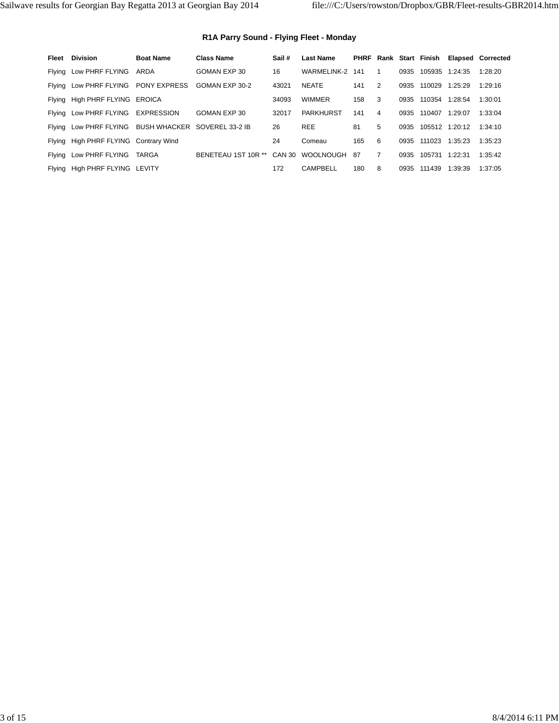## **R1A Parry Sound - Flying Fleet - Monday**

| Fleet | <b>Division</b>                                     | <b>Boat Name</b>    | <b>Class Name</b>   | Sail # | <b>Last Name</b> |     |                |      | PHRF Rank Start Finish |                | <b>Elapsed Corrected</b> |
|-------|-----------------------------------------------------|---------------------|---------------------|--------|------------------|-----|----------------|------|------------------------|----------------|--------------------------|
|       | Flying Low PHRF FLYING                              | ARDA                | GOMAN EXP 30        | 16     | WARMELINK-2      | 141 | 1              | 0935 |                        | 105935 1:24:35 | 1:28:20                  |
|       | Flying Low PHRF FLYING                              | <b>PONY EXPRESS</b> | GOMAN EXP 30-2      | 43021  | <b>NEATE</b>     | 141 | 2              | 0935 | 110029                 | 1:25:29        | 1:29:16                  |
|       | Flying High PHRF FLYING EROICA                      |                     |                     | 34093  | <b>WIMMER</b>    | 158 | 3              | 0935 | 110354                 | 1:28:54        | 1:30:01                  |
|       | Flying Low PHRF FLYING EXPRESSION                   |                     | GOMAN EXP 30        | 32017  | <b>PARKHURST</b> | 141 | 4              | 0935 | 110407                 | 1:29:07        | 1:33:04                  |
|       | Flying Low PHRF FLYING BUSH WHACKER SOVEREL 33-2 IB |                     |                     | 26     | <b>REE</b>       | 81  | 5              | 0935 |                        | 105512 1:20:12 | 1:34:10                  |
|       | Flying High PHRF FLYING Contrary Wind               |                     |                     | 24     | Comeau           | 165 | 6              | 0935 | 111023                 | 1:35:23        | 1:35:23                  |
|       | Flying Low PHRF FLYING                              | TARGA               | BENETEAU 1ST 10R ** | CAN 30 | WOOLNOUGH        | 87  | $\overline{7}$ | 0935 | 105731                 | 1:22:31        | 1:35:42                  |
|       | Flying High PHRF FLYING LEVITY                      |                     |                     | 172    | CAMPBELL         | 180 | 8              | 0935 | 111439                 | 1:39:39        | 1:37:05                  |
|       |                                                     |                     |                     |        |                  |     |                |      |                        |                |                          |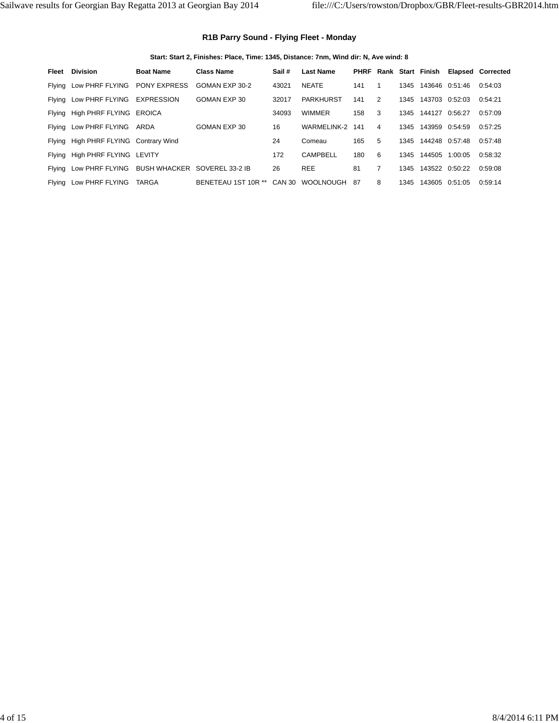## **R1B Parry Sound - Flying Fleet - Monday**

**Start: Start 2, Finishes: Place, Time: 1345, Distance: 7nm, Wind dir: N, Ave wind: 8**

| Fleet | <b>Division</b>                                     | <b>Boat Name</b>    | <b>Class Name</b>                       | Sail # | <b>Last Name</b> |     |                |      | PHRF Rank Start Finish |                | <b>Elapsed Corrected</b> |
|-------|-----------------------------------------------------|---------------------|-----------------------------------------|--------|------------------|-----|----------------|------|------------------------|----------------|--------------------------|
|       | Flying Low PHRF FLYING                              | <b>PONY EXPRESS</b> | GOMAN EXP 30-2                          | 43021  | <b>NEATE</b>     | 141 |                | 1345 |                        | 143646 0:51:46 | 0:54:03                  |
|       | Flying Low PHRF FLYING                              | <b>EXPRESSION</b>   | GOMAN EXP 30                            | 32017  | <b>PARKHURST</b> | 141 | 2              | 1345 | 143703 0:52:03         |                | 0:54:21                  |
|       | Flying High PHRF FLYING EROICA                      |                     |                                         | 34093  | <b>WIMMER</b>    | 158 | 3              | 1345 | 144127                 | 0:56:27        | 0:57:09                  |
|       | Flying Low PHRF FLYING ARDA                         |                     | GOMAN EXP 30                            | 16     | WARMELINK-2      | 141 | 4              | 1345 | 143959 0:54:59         |                | 0.57:25                  |
|       | Flying High PHRF FLYING Contrary Wind               |                     |                                         | 24     | Comeau           | 165 | 5              | 1345 | 144248 0.57:48         |                | 0.57:48                  |
|       | Flying High PHRF FLYING LEVITY                      |                     |                                         | 172    | CAMPBELL         | 180 | 6              | 1345 | 144505                 | 1:00:05        | 0:58:32                  |
|       | Flying Low PHRF FLYING BUSH WHACKER SOVEREL 33-2 IB |                     |                                         | 26     | <b>REE</b>       | 81  | $\overline{7}$ | 1345 | 143522 0:50:22         |                | 0:59:08                  |
|       | Flying Low PHRF FLYING                              | TARGA               | BENETEAU 1ST 10R ** CAN 30 WOOLNOUGH 87 |        |                  |     | 8              | 1345 | 143605                 | 0:51:05        | 0:59:14                  |
|       |                                                     |                     |                                         |        |                  |     |                |      |                        |                |                          |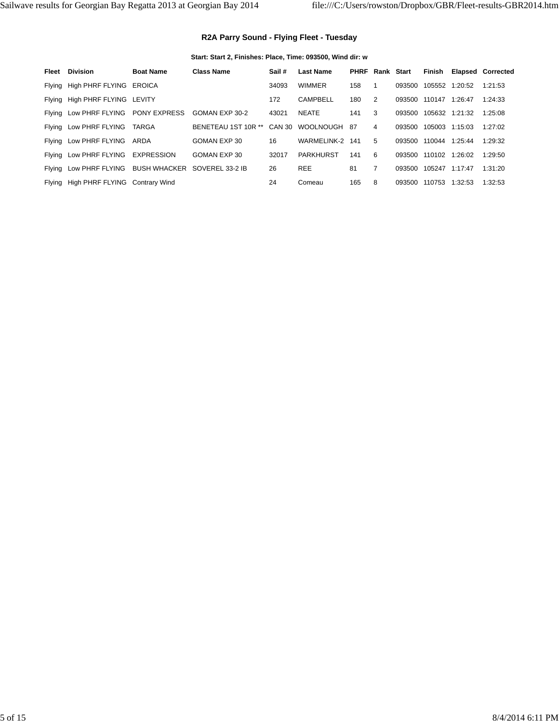## **R2A Parry Sound - Flying Fleet - Tuesday**

**Start: Start 2, Finishes: Place, Time: 093500, Wind dir: w**

|                | <b>Elapsed Corrected</b>                                                                             |
|----------------|------------------------------------------------------------------------------------------------------|
| 105552         | 1:20:52<br>1:21:53                                                                                   |
| 110147         | 1:26:47<br>1:24:33                                                                                   |
| 105632 1:21:32 | 1:25:08                                                                                              |
| 105003 1:15:03 | 1:27:02                                                                                              |
| 110044         | 1:25:44<br>1:29:32                                                                                   |
| 110102 1:26:02 | 1:29:50                                                                                              |
| 105247 1:17:47 | 1:31:20                                                                                              |
| 110753         | 1:32:53<br>1:32:53                                                                                   |
|                | Finish<br>Rank Start<br>093500<br>093500<br>093500<br>093500<br>093500<br>093500<br>093500<br>093500 |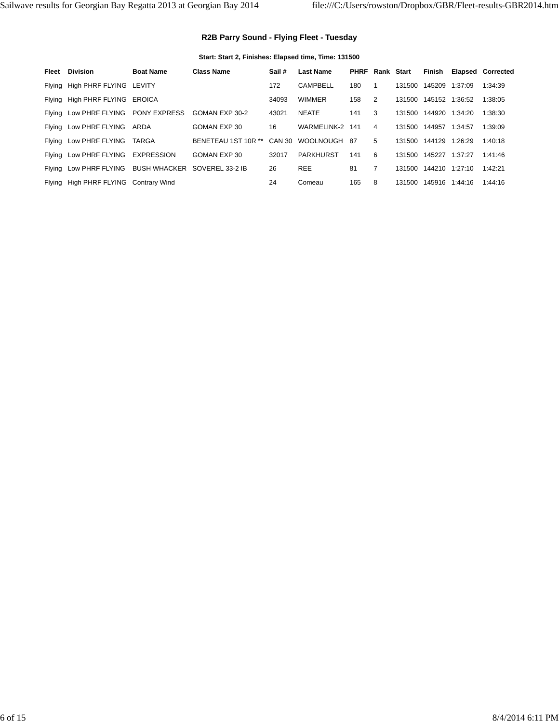## **R2B Parry Sound - Flying Fleet - Tuesday**

**Start: Start 2, Finishes: Elapsed time, Time: 131500**

| Fleet | <b>Division</b>                                     | <b>Boat Name</b> | <b>Class Name</b>   | Sail#  | <b>Last Name</b> | <b>PHRF</b> | Rank Start     |        | Finish         |                | <b>Elapsed Corrected</b> |
|-------|-----------------------------------------------------|------------------|---------------------|--------|------------------|-------------|----------------|--------|----------------|----------------|--------------------------|
|       | Flying High PHRF FLYING LEVITY                      |                  |                     | 172    | <b>CAMPBELL</b>  | 180         |                | 131500 | 145209         | 1:37:09        | 1:34:39                  |
|       | Flying High PHRF FLYING EROICA                      |                  |                     | 34093  | <b>WIMMER</b>    | 158         | 2              | 131500 |                | 145152 1:36:52 | 1:38:05                  |
|       | Flying Low PHRF FLYING PONY EXPRESS                 |                  | GOMAN EXP 30-2      | 43021  | <b>NEATE</b>     | 141         | 3              | 131500 |                | 144920 1:34:20 | 1:38:30                  |
|       | Flying Low PHRF FLYING ARDA                         |                  | GOMAN EXP 30        | 16     | WARMELINK-2      | 141         | 4              | 131500 | 144957         | 1:34:57        | 1:39:09                  |
|       | Flying Low PHRF FLYING TARGA                        |                  | BENETEAU 1ST 10R ** | CAN 30 | WOOLNOUGH        | -87         | 5              | 131500 | 144129 1:26:29 |                | 1:40:18                  |
|       | Flying Low PHRF FLYING EXPRESSION                   |                  | GOMAN EXP 30        | 32017  | <b>PARKHURST</b> | 141         | 6              | 131500 | 145227         | 1:37:27        | 1:41:46                  |
|       | Flying Low PHRF FLYING BUSH WHACKER SOVEREL 33-2 IB |                  |                     | 26     | <b>REE</b>       | 81          | $\overline{7}$ | 131500 |                | 144210 1:27:10 | 1:42:21                  |
|       | Flying High PHRF FLYING Contrary Wind               |                  |                     | 24     | Comeau           | 165         | 8              | 131500 |                | 145916 1:44:16 | 1:44:16                  |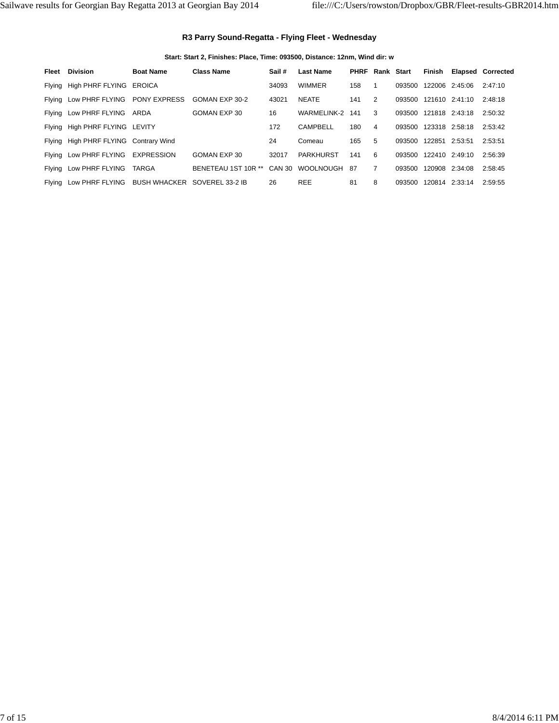#### **R3 Parry Sound-Regatta - Flying Fleet - Wednesday**

#### **Start: Start 2, Finishes: Place, Time: 093500, Distance: 12nm, Wind dir: w**

| Fleet  | <b>Division</b>                       | <b>Boat Name</b> | <b>Class Name</b>   | Sail#  | <b>Last Name</b> | <b>PHRF</b> | Rank Start     |        | Finish |                | <b>Elapsed Corrected</b> |
|--------|---------------------------------------|------------------|---------------------|--------|------------------|-------------|----------------|--------|--------|----------------|--------------------------|
|        | Flying High PHRF FLYING EROICA        |                  |                     | 34093  | WIMMER           | 158         |                | 093500 |        | 122006 2:45:06 | 2:47:10                  |
|        | Flying Low PHRF FLYING PONY EXPRESS   |                  | GOMAN EXP 30-2      | 43021  | <b>NEATE</b>     | 141         | 2              | 093500 |        | 121610 2:41:10 | 2:48:18                  |
|        | Flying Low PHRF FLYING ARDA           |                  | GOMAN EXP 30        | 16     | WARMELINK-2      | 141         | 3              | 093500 |        | 121818 2:43:18 | 2:50:32                  |
|        | Flying High PHRF FLYING LEVITY        |                  |                     | 172    | CAMPBELL         | 180         | 4              | 093500 |        | 123318 2:58:18 | 2:53:42                  |
|        | Flying High PHRF FLYING Contrary Wind |                  |                     | 24     | Comeau           | 165         | 5              | 093500 | 122851 | 2:53:51        | 2:53:51                  |
|        | Flying Low PHRF FLYING EXPRESSION     |                  | GOMAN EXP 30        | 32017  | PARKHURST        | 141         | 6              | 093500 |        | 122410 2:49:10 | 2:56:39                  |
|        | Flying Low PHRF FLYING                | TARGA            | BENETEAU 1ST 10R ** | CAN 30 | <b>WOOLNOUGH</b> | -87         | $\overline{7}$ | 093500 |        | 120908 2:34:08 | 2:58:45                  |
| Flying | Low PHRF FLYING                       | BUSH WHACKER     | SOVEREL 33-2 IB     | 26     | <b>REE</b>       | 81          | 8              | 093500 |        | 120814 2:33:14 | 2:59:55                  |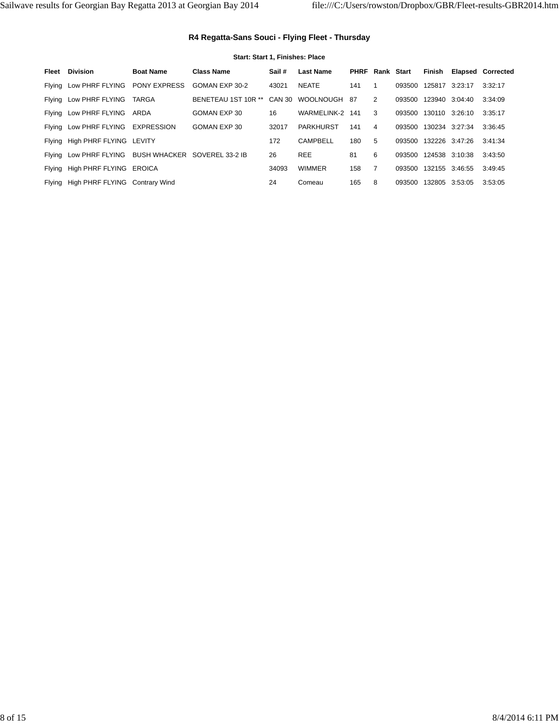#### **R4 Regatta-Sans Souci - Flying Fleet - Thursday**

# **Start: Start 1, Finishes: Place** Fleet Division **Boat Name** Class Name Sail # Last Name PHRF Rank Start Finish Elapsed Corrected Flying Low PHRF FLYING PONY EXPRESS GOMAN EXP 30-2 43021 NEATE 141 1 093500 125817 3:23:17 3:32:17 Flying Low PHRF FLYING TARGA BENETEAU 1ST 10R \*\* CAN 30 WOOLNOUGH 87 2 093500 123940 3:04:40 3:34:09 Flying Low PHRF FLYING ARDA GOMAN EXP 30 16 WARMELINK-2 141 3 093500 130110 3:26:10 3:35:17 Flying Low PHRF FLYING EXPRESSION GOMAN EXP 30 32017 PARKHURST 141 4 093500 130234 3:27:34 3:36:45 Flying High PHRF FLYING LEVITY 172 CAMPBELL 180 5 093500 132226 3:47:26 3:41:34 Flying Low PHRF FLYING BUSH WHACKER SOVEREL 33-2 IB 26 REE 81 6 093500 124538 3:10:38 3:43:50 Flying High PHRF FLYING EROICA 34093 WIMMER 158 7 093500 132155 3:46:55 3:49:45 Flying High PHRF FLYING Contrary Wind 24 Comeau 165 8 093500 132805 3:53:05 3:53:05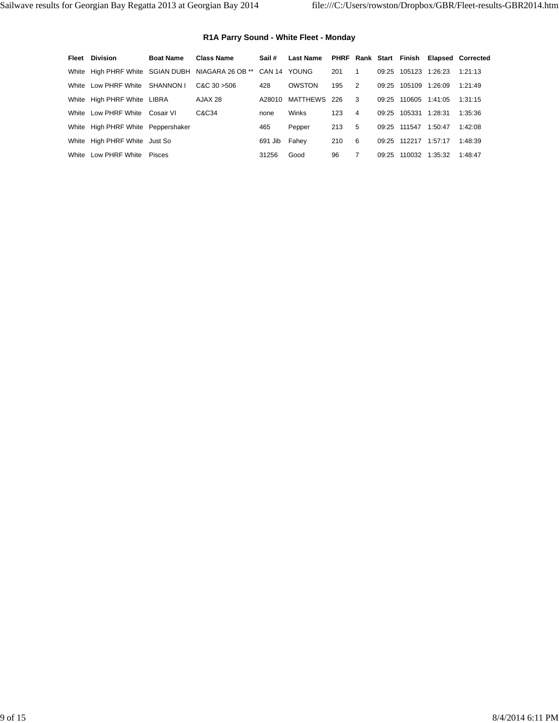## **R1A Parry Sound - White Fleet - Monday**

| Fleet | Division                           | <b>Boat Name</b> | <b>Class Name</b>                                              | Sail#   | <b>Last Name</b> |     |                |       | PHRF Rank Start Finish |         | <b>Elapsed Corrected</b> |
|-------|------------------------------------|------------------|----------------------------------------------------------------|---------|------------------|-----|----------------|-------|------------------------|---------|--------------------------|
|       |                                    |                  | White High PHRF White SGIAN DUBH NIAGARA 26 OB ** CAN 14 YOUNG |         |                  | 201 | 1              | 09:25 | 105123                 | 1:26:23 | 1:21:13                  |
|       | White Low PHRF White SHANNON I     |                  | CAC30 > 506                                                    | 428     | OWSTON           | 195 | 2              | 09:25 | 105109                 | 1:26:09 | 1:21:49                  |
|       | White High PHRF White LIBRA        |                  | AJAX 28                                                        | A28010  | <b>MATTHEWS</b>  | 226 | -3             | 09:25 | 110605                 | 1:41:05 | 1:31:15                  |
|       | White Low PHRF White Cosair VI     |                  | C&C34                                                          | none    | Winks            | 123 | $\overline{4}$ | 09.25 | 105331                 | 1:28:31 | 1:35:36                  |
|       | White High PHRF White Peppershaker |                  |                                                                | 465     | Pepper           | 213 | 5              |       | 09:25 111547           | 1:50:47 | 1:42:08                  |
|       | White High PHRF White Just So      |                  |                                                                | 691 Jib | Fahey            | 210 | -6             | 09.25 | 112217                 | 1:57:17 | 1:48:39                  |
|       | White Low PHRF White               | Pisces           |                                                                | 31256   | Good             | 96  | 7              | 09.25 | 110032                 | 1:35:32 | 1:48:47                  |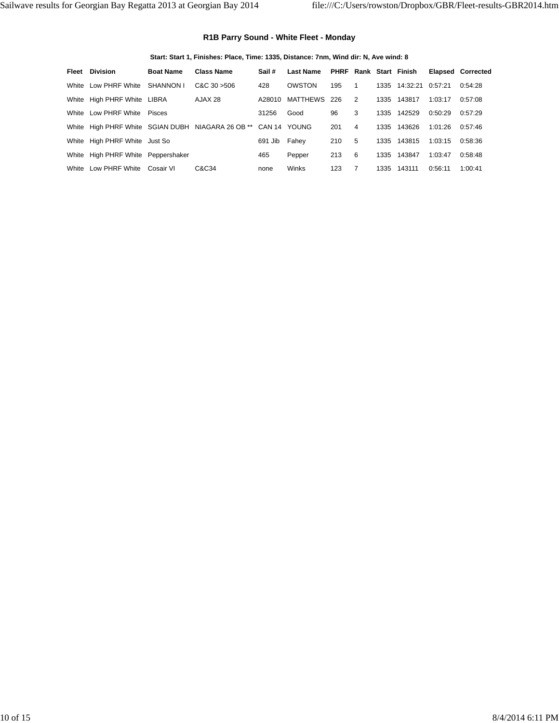#### **R1B Parry Sound - White Fleet - Monday**

**Start: Start 1, Finishes: Place, Time: 1335, Distance: 7nm, Wind dir: N, Ave wind: 8**

| Fleet | <b>Division</b>                    | <b>Boat Name</b> | <b>Class Name</b>                                 | Sail#        | <b>Last Name</b> |     |   |      | <b>PHRF Rank Start Finish</b> |         | <b>Elapsed Corrected</b> |
|-------|------------------------------------|------------------|---------------------------------------------------|--------------|------------------|-----|---|------|-------------------------------|---------|--------------------------|
| White | Low PHRF White SHANNON I           |                  | CAC30 > 506                                       | 428          | OWSTON           | 195 | 1 |      | 1335 14:32:21                 | 0.57:21 | 0:54:28                  |
|       | White High PHRF White LIBRA        |                  | AJAX 28                                           | A28010       | MATTHEWS 226     |     | 2 | 1335 | 143817                        | 1:03:17 | 0:57:08                  |
| White | Low PHRF White                     | Pisces           |                                                   | 31256        | Good             | 96  | 3 | 1335 | 142529                        | 0:50:29 | 0.57:29                  |
|       |                                    |                  | White High PHRF White SGIAN DUBH NIAGARA 26 OB ** | CAN 14 YOUNG |                  | 201 | 4 | 1335 | 143626                        | 1:01:26 | 0.57:46                  |
|       | White High PHRF White Just So      |                  |                                                   | 691 Jib      | Fahey            | 210 | 5 | 1335 | 143815                        | 1:03:15 | 0:58:36                  |
|       | White High PHRF White Peppershaker |                  |                                                   | 465          | Pepper           | 213 | 6 | 1335 | 143847                        | 1:03:47 | 0:58:48                  |
| White | Low PHRF White                     | Cosair VI        | C&C34                                             | none         | Winks            | 123 |   | 1335 | 143111                        | 0:56:11 | 1:00:41                  |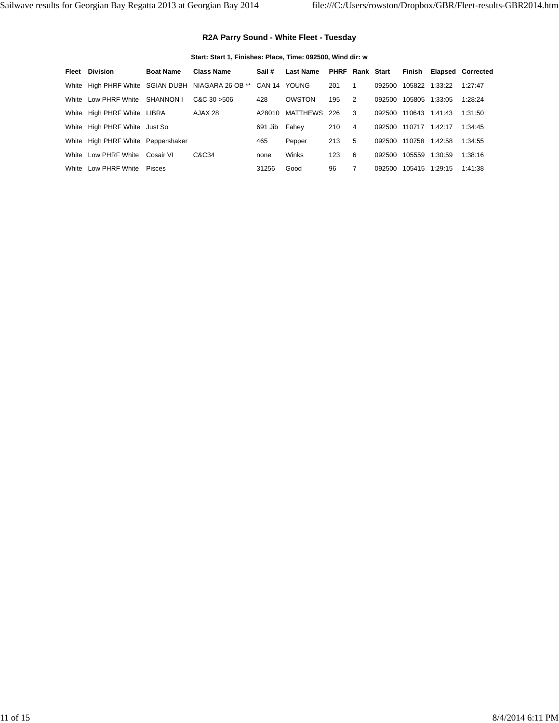#### **R2A Parry Sound - White Fleet - Tuesday**

#### **Start: Start 1, Finishes: Place, Time: 092500, Wind dir: w**

|       | <b>Fleet</b> Division              | <b>Boat Name</b> | <b>Class Name</b>                                              | Sail #  | <b>Last Name</b> | <b>PHRF Rank Start</b> |                |        |                |         | Finish Elapsed Corrected |
|-------|------------------------------------|------------------|----------------------------------------------------------------|---------|------------------|------------------------|----------------|--------|----------------|---------|--------------------------|
|       |                                    |                  | White High PHRF White SGIAN DUBH NIAGARA 26 OB ** CAN 14 YOUNG |         |                  | 201                    | -1             | 092500 | 105822         | 1:33:22 | 1:27:47                  |
|       | White Low PHRF White               | SHANNON I        | CAC30 > 506                                                    | 428     | OWSTON           | 195                    | 2              | 092500 | 105805         | 1:33:05 | 1:28:24                  |
|       | White High PHRF White LIBRA        |                  | AJAX 28                                                        | A28010  | MATTHEWS 226     |                        | 3              | 092500 | 110643         | 1:41:43 | 1:31:50                  |
|       | White High PHRF White Just So      |                  |                                                                | 691 Jib | Fahey            | 210                    | $\overline{4}$ | 092500 | 110717         | 1:42:17 | 1:34:45                  |
|       | White High PHRF White Peppershaker |                  |                                                                | 465     | Pepper           | 213                    | 5              | 092500 | 110758 1:42:58 |         | 1:34:55                  |
| White | Low PHRF White                     | Cosair VI        | C&C34                                                          | none    | Winks            | 123                    | 6              | 092500 | 105559         | 1:30:59 | 1:38:16                  |
| White | Low PHRF White                     | Pisces           |                                                                | 31256   | Good             | 96                     |                | 092500 | 105415         | 1:29:15 | 1:41:38                  |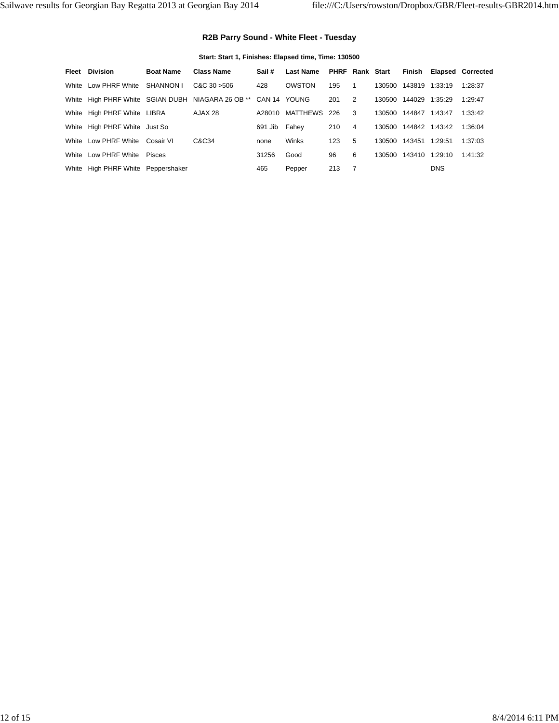## **R2B Parry Sound - White Fleet - Tuesday**

## **Start: Start 1, Finishes: Elapsed time, Time: 130500**

| <b>Fleet</b> Division              | <b>Boat Name</b> | <b>Class Name</b>                                              | Sail #  | <b>Last Name</b> | PHRF Rank Start |                |        |                |            | Finish Elapsed Corrected |
|------------------------------------|------------------|----------------------------------------------------------------|---------|------------------|-----------------|----------------|--------|----------------|------------|--------------------------|
| White Low PHRF White               | SHANNON I        | CAC30 > 506                                                    | 428     | OWSTON           | 195             | 1              | 130500 | 143819 1:33:19 |            | 1:28:37                  |
|                                    |                  | White High PHRF White SGIAN DUBH NIAGARA 26 OB ** CAN 14 YOUNG |         |                  | 201             | $\overline{2}$ | 130500 | 144029         | 1:35:29    | 1:29:47                  |
| White High PHRF White LIBRA        |                  | AJAX 28                                                        | A28010  | MATTHEWS 226     |                 | -3             | 130500 | 144847         | 1:43:47    | 1:33:42                  |
| White High PHRF White Just So      |                  |                                                                | 691 Jib | Fahev            | 210             | $\overline{4}$ | 130500 | 144842 1:43:42 |            | 1:36:04                  |
| White Low PHRF White               | Cosair VI        | C&C34                                                          | none    | Winks            | 123             | 5              | 130500 | 143451         | 1:29:51    | 1:37:03                  |
| White Low PHRF White               | Pisces           |                                                                | 31256   | Good             | 96              | 6              | 130500 | 143410         | 1:29:10    | 1:41:32                  |
| White High PHRF White Peppershaker |                  |                                                                | 465     | Pepper           | 213             | - 7            |        |                | <b>DNS</b> |                          |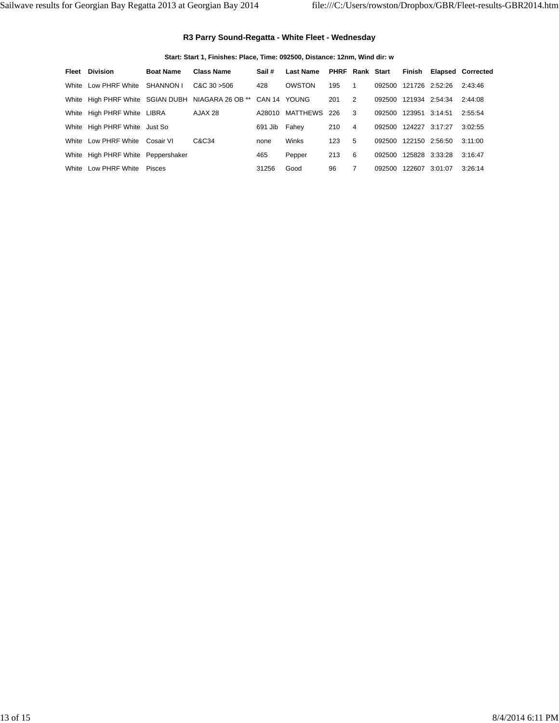#### **R3 Parry Sound-Regatta - White Fleet - Wednesday**

#### **Start: Start 1, Finishes: Place, Time: 092500, Distance: 12nm, Wind dir: w**

| Fleet | Division                           | <b>Boat Name</b> | <b>Class Name</b>                                              | Sail #  | <b>Last Name</b> | <b>PHRF Rank Start</b> |                |        | Finish                |         | <b>Elapsed Corrected</b> |
|-------|------------------------------------|------------------|----------------------------------------------------------------|---------|------------------|------------------------|----------------|--------|-----------------------|---------|--------------------------|
|       | White Low PHRF White               | SHANNON I        | CAC30 > 506                                                    | 428     | OWSTON           | 195                    | 1              | 092500 | 121726 2:52:26        |         | 2:43:46                  |
|       |                                    |                  | White High PHRF White SGIAN DUBH NIAGARA 26 OB ** CAN 14 YOUNG |         |                  | 201                    | 2              | 092500 | 121934 2:54:34        |         | 2:44:08                  |
|       | White High PHRF White LIBRA        |                  | AJAX 28                                                        | A28010  | MATTHEWS 226     |                        | -3             | 092500 | 123951 3:14:51        |         | 2:55:54                  |
|       | White High PHRF White Just So      |                  |                                                                | 691 Jib | Fahev            | 210                    | $\overline{4}$ |        | 092500 124227 3:17:27 |         | 3:02:55                  |
|       | White Low PHRF White               | Cosair VI        | C&C34                                                          | none    | Winks            | 123                    | 5              | 092500 | 122150 2:56:50        |         | 3:11:00                  |
|       | White High PHRF White Peppershaker |                  |                                                                | 465     | Pepper           | 213                    | 6              | 092500 | 125828 3:33:28        |         | 3:16:47                  |
| White | Low PHRF White                     | Pisces           |                                                                | 31256   | Good             | 96                     |                | 092500 | 122607                | 3:01:07 | 3:26:14                  |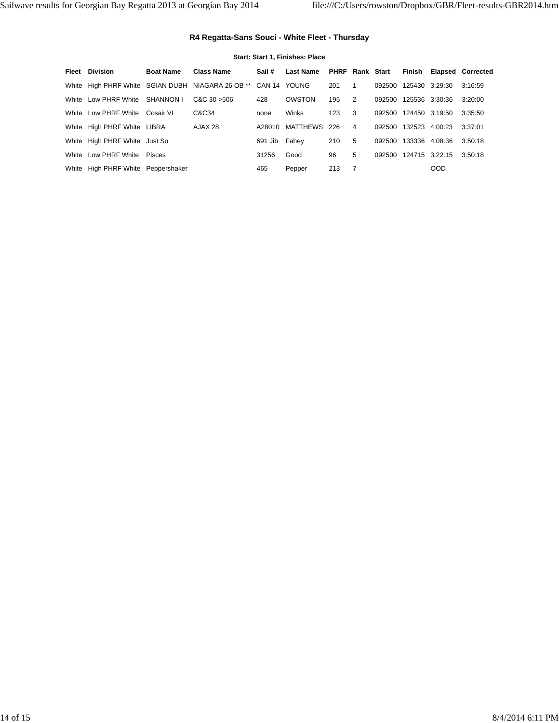## **R4 Regatta-Sans Souci - White Fleet - Thursday**

#### **Start: Start 1, Finishes: Place**

| Fleet | Division                           | <b>Boat Name</b> | <b>Class Name</b>                                              | Sail #  | <b>Last Name</b> | PHRF Rank Start |                |               |                |            | Finish Elapsed Corrected |
|-------|------------------------------------|------------------|----------------------------------------------------------------|---------|------------------|-----------------|----------------|---------------|----------------|------------|--------------------------|
|       |                                    |                  | White High PHRF White SGIAN DUBH NIAGARA 26 OB ** CAN 14 YOUNG |         |                  | 201             | -1             | 092500        | 125430 3:29:30 |            | 3:16:59                  |
|       | White Low PHRF White SHANNON I     |                  | CAC30 > 506                                                    | 428     | OWSTON           | 195             | 2              | 092500        | 125536 3:30:36 |            | 3:20:00                  |
|       | White Low PHRF White Cosair VI     |                  | C&C34                                                          | none    | Winks            | 123             | 3              | 092500        | 124450 3:19:50 |            | 3:35:50                  |
|       | White High PHRF White LIBRA        |                  | AJAX 28                                                        | A28010  | MATTHEWS 226     |                 | $\overline{4}$ | 092500 132523 |                | 4:00:23    | 3:37:01                  |
|       | White High PHRF White Just So      |                  |                                                                | 691 Jib | Fahev            | 210             | 5              | 092500        | 133336         | 4:08:36    | 3:50:18                  |
|       | White Low PHRF White               | Pisces           |                                                                | 31256   | Good             | 96              | 5              | 092500        | 124715 3:22:15 |            | 3:50:18                  |
|       | White High PHRF White Peppershaker |                  |                                                                | 465     | Pepper           | 213             | - 7            |               |                | <b>OOD</b> |                          |